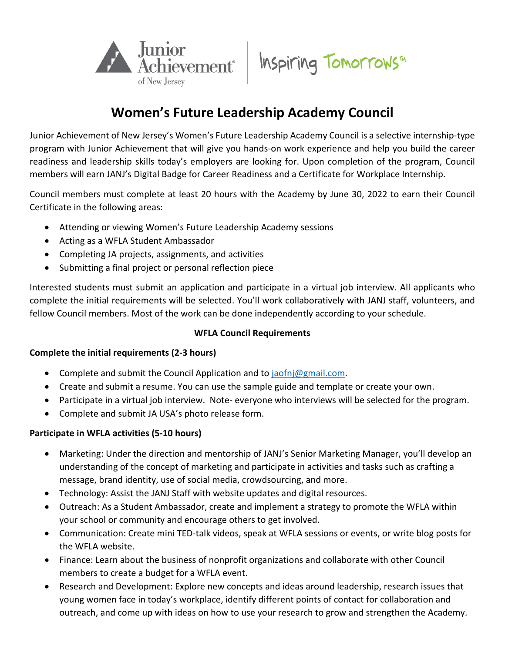

# Inspiring Tomorrows™

# **Women's Future Leadership Academy Council**

Junior Achievement of New Jersey's Women's Future Leadership Academy Council is a selective internship-type program with Junior Achievement that will give you hands-on work experience and help you build the career readiness and leadership skills today's employers are looking for. Upon completion of the program, Council members will earn JANJ's Digital Badge for Career Readiness and a Certificate for Workplace Internship.

Council members must complete at least 20 hours with the Academy by June 30, 2022 to earn their Council Certificate in the following areas:

- Attending or viewing Women's Future Leadership Academy sessions
- Acting as a WFLA Student Ambassador
- Completing JA projects, assignments, and activities
- Submitting a final project or personal reflection piece

Interested students must submit an application and participate in a virtual job interview. All applicants who complete the initial requirements will be selected. You'll work collaboratively with JANJ staff, volunteers, and fellow Council members. Most of the work can be done independently according to your schedule.

# **WFLA Council Requirements**

# **Complete the initial requirements (2-3 hours)**

- Complete and submit the Council Application and to [jaofnj@gmail.com.](mailto:jaofnj@gmail.com)
- Create and submit a resume. You can use the sample guide and template or create your own.
- Participate in a virtual job interview. Note- everyone who interviews will be selected for the program.
- Complete and submit JA USA's photo release form.

# **Participate in WFLA activities (5-10 hours)**

- Marketing: Under the direction and mentorship of JANJ's Senior Marketing Manager, you'll develop an understanding of the concept of marketing and participate in activities and tasks such as crafting a message, brand identity, use of social media, crowdsourcing, and more.
- Technology: Assist the JANJ Staff with website updates and digital resources.
- Outreach: As a Student Ambassador, create and implement a strategy to promote the WFLA within your school or community and encourage others to get involved.
- Communication: Create mini TED-talk videos, speak at WFLA sessions or events, or write blog posts for the WFLA website.
- Finance: Learn about the business of nonprofit organizations and collaborate with other Council members to create a budget for a WFLA event.
- Research and Development: Explore new concepts and ideas around leadership, research issues that young women face in today's workplace, identify different points of contact for collaboration and outreach, and come up with ideas on how to use your research to grow and strengthen the Academy.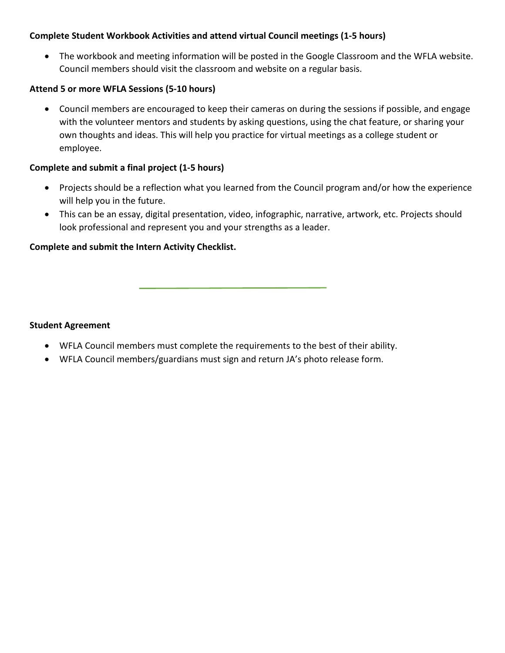#### **Complete Student Workbook Activities and attend virtual Council meetings (1-5 hours)**

• The workbook and meeting information will be posted in the Google Classroom and the WFLA website. Council members should visit the classroom and website on a regular basis.

#### **Attend 5 or more WFLA Sessions (5-10 hours)**

• Council members are encouraged to keep their cameras on during the sessions if possible, and engage with the volunteer mentors and students by asking questions, using the chat feature, or sharing your own thoughts and ideas. This will help you practice for virtual meetings as a college student or employee.

#### **Complete and submit a final project (1-5 hours)**

- Projects should be a reflection what you learned from the Council program and/or how the experience will help you in the future.
- This can be an essay, digital presentation, video, infographic, narrative, artwork, etc. Projects should look professional and represent you and your strengths as a leader.

#### **Complete and submit the Intern Activity Checklist.**

#### **Student Agreement**

- WFLA Council members must complete the requirements to the best of their ability.
- WFLA Council members/guardians must sign and return JA's photo release form.